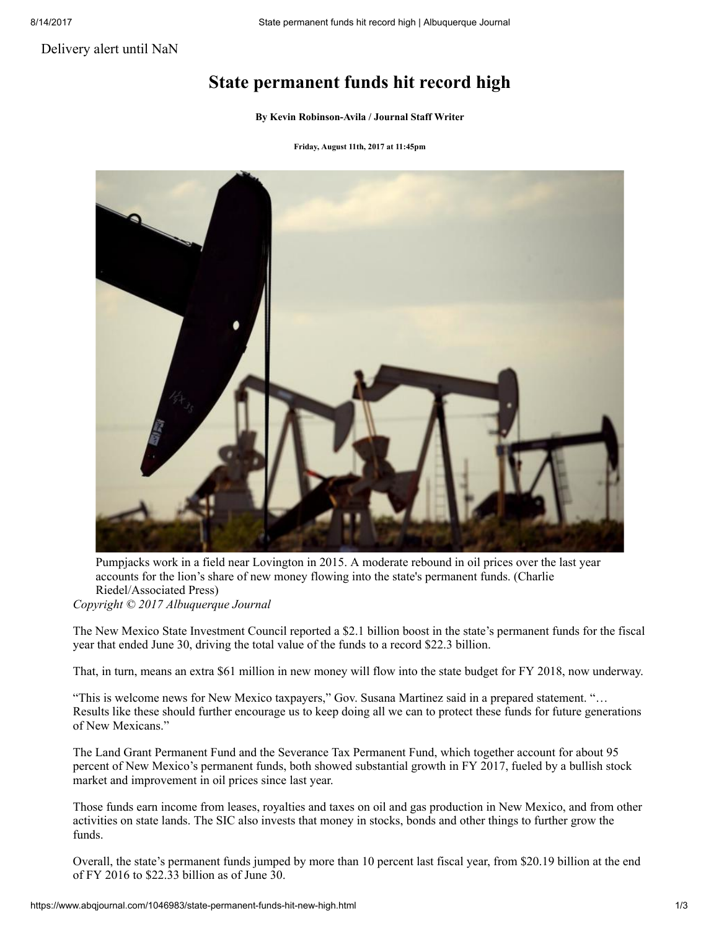[Delivery](https://staging.abqjournal.com/subscriber/subscriptions/delivery-alerts) alert until NaN

## State permanent funds hit record high

By Kevin [Robinson-Avila](https://www.abqjournal.com/author/krobinson-avila) / Journal Staff Writer

Friday, August 11th, 2017 at 11:45pm



Pumpjacks work in a field near Lovington in 2015. A moderate rebound in oil prices over the last year accounts for the lion's share of new money flowing into the state's permanent funds. (Charlie Riedel/Associated Press) *Copyright © 2017 Albuquerque Journal*

The New Mexico State Investment Council reported a \$2.1 billion boost in the state's permanent funds for the fiscal year that ended June 30, driving the total value of the funds to a record \$22.3 billion.

That, in turn, means an extra \$61 million in new money will flow into the state budget for FY 2018, now underway.

"This is welcome news for New Mexico taxpayers," Gov. Susana Martinez said in a prepared statement. "… Results like these should further encourage us to keep doing all we can to protect these funds for future generations of New Mexicans."

The Land Grant Permanent Fund and the Severance Tax Permanent Fund, which together account for about 95 percent of New Mexico's permanent funds, both showed substantial growth in FY 2017, fueled by a bullish stock market and improvement in oil prices since last year.

Those funds earn income from leases, royalties and taxes on oil and gas production in New Mexico, and from other activities on state lands. The SIC also invests that money in stocks, bonds and other things to further grow the funds.

Overall, the state's permanent funds jumped by more than 10 percent last fiscal year, from \$20.19 billion at the end of FY 2016 to \$22.33 billion as of June 30.